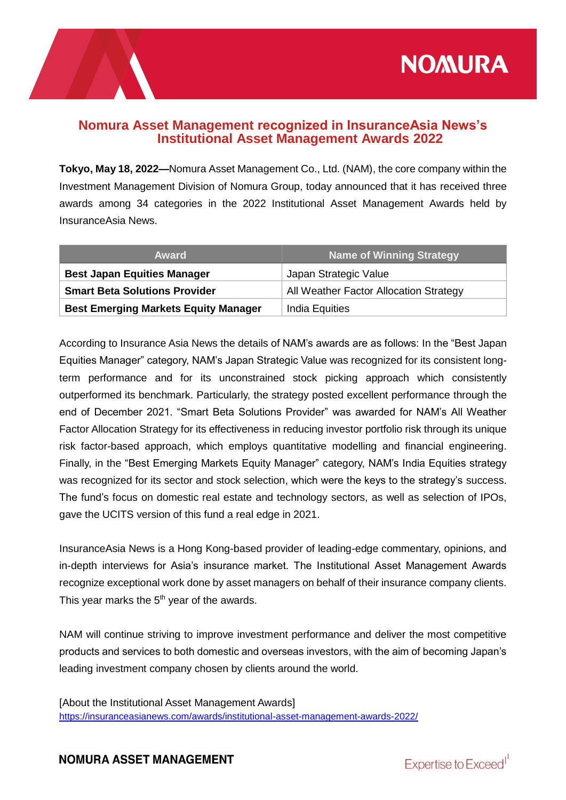



**Tokyo, May 18, 2022—**Nomura Asset Management Co., Ltd. (NAM), the core company within the Investment Management Division of Nomura Group, today announced that it has received three awards among 34 categories in the 2022 Institutional Asset Management Awards held by InsuranceAsia News.

| <b>Award</b>                                | <b>Name of Winning Strategy</b>        |
|---------------------------------------------|----------------------------------------|
| <b>Best Japan Equities Manager</b>          | Japan Strategic Value                  |
| <b>Smart Beta Solutions Provider</b>        | All Weather Factor Allocation Strategy |
| <b>Best Emerging Markets Equity Manager</b> | India Equities                         |

According to Insurance Asia News the details of NAM's awards are as follows: In the "Best Japan Equities Manager" category, NAM's Japan Strategic Value was recognized for its consistent longterm performance and for its unconstrained stock picking approach which consistently outperformed its benchmark. Particularly, the strategy posted excellent performance through the end of December 2021. "Smart Beta Solutions Provider" was awarded for NAM's All Weather Factor Allocation Strategy for its effectiveness in reducing investor portfolio risk through its unique risk factor-based approach, which employs quantitative modelling and financial engineering. Finally, in the "Best Emerging Markets Equity Manager" category, NAM's India Equities strategy was recognized for its sector and stock selection, which were the keys to the strategy's success. The fund's focus on domestic real estate and technology sectors, as well as selection of IPOs, gave the UCITS version of this fund a real edge in 2021.

InsuranceAsia News is a Hong Kong-based provider of leading-edge commentary, opinions, and in-depth interviews for Asia's insurance market. The Institutional Asset Management Awards recognize exceptional work done by asset managers on behalf of their insurance company clients. This year marks the  $5<sup>th</sup>$  year of the awards.

NAM will continue striving to improve investment performance and deliver the most competitive products and services to both domestic and overseas investors, with the aim of becoming Japan's leading investment company chosen by clients around the world.

[About the Institutional Asset Management Awards] <https://insuranceasianews.com/awards/institutional-asset-management-awards-2022/>